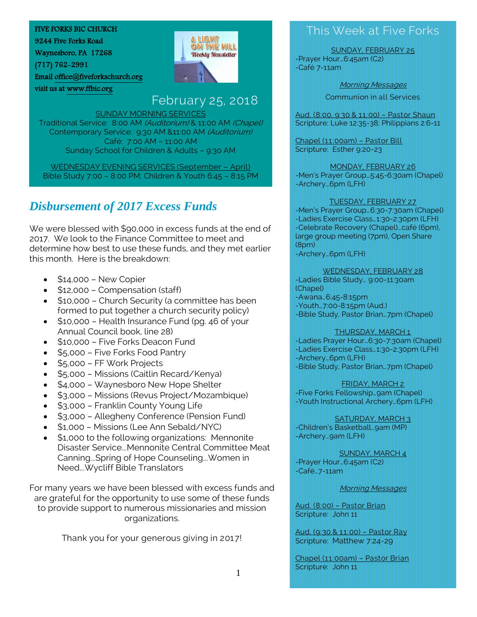#### FIVE FORKS BIC CHURCH

9244 Five Forks Road

Waynesboro, PA 17268

visit us a[t www.ffbic.org](http://www.ffbic.org/) 

(717) 762-2991

Email [office@fiveforkschurch.org](mailto:office@fiveforkschurch.org) 

# **A LIGHT** ON THE HILL **Weekly Newsletter**

# February 25, 2018

SUNDAY MORNING SERVICES Traditional Service: 8:00 AM (Auditorium) & 11:00 AM (Chapel) Contemporary Service: 9:30 AM &11:00 AM (Auditorium) Café: 7:00 AM – 11:00 AM Sunday School for Children & Adults – 9:30 AM

WEDNESDAY EVENING SERVICES (September – April) Bible Study 7:00 – 8:00 PM; Children & Youth 6:45 – 8:15 PM

# *Disbursement of 2017 Excess Funds*

We were blessed with \$90,000 in excess funds at the end of 2017. We look to the Finance Committee to meet and determine how best to use these funds, and they met earlier this month. Here is the breakdown:

- $\bullet$  \$14,000 New Copier
- \$12,000 Compensation (staff)
- \$10,000 Church Security (a committee has been formed to put together a church security policy)
- \$10,000 Health Insurance Fund (pg. 46 of your Annual Council book, line 28)
- \$10,000 Five Forks Deacon Fund
- \$5,000 Five Forks Food Pantry
- \$5,000 FF Work Projects
- \$5,000 Missions (Caitlin Recard/Kenya)
- \$4,000 Waynesboro New Hope Shelter
- \$3,000 Missions (Revus Project/Mozambique)
- \$3,000 Franklin County Young Life
- \$3,000 Allegheny Conference (Pension Fund)
- \$1,000 Missions (Lee Ann Sebald/NYC)
- \$1,000 to the following organizations: Mennonite Disaster Service...Mennonite Central Committee Meat Canning...Spring of Hope Counseling...Women in Need...Wycliff Bible Translators

For many years we have been blessed with excess funds and are grateful for the opportunity to use some of these funds to provide support to numerous missionaries and mission organizations.

Thank you for your generous giving in 2017!

# This Week at Five Forks

SUNDAY, FEBRUARY 25 -Prayer Hour…6:45am (C2)

-Café 7-11am

Morning Messages

Communion in all Services

Aud. (8:00, 9:30 & 11:00) – Pastor Shaun Scripture: Luke 12:35-38; Philippians 2:6-11

Chapel (11:00am) – Pastor Bill Scripture: Esther 9:20-23

## MONDAY, FEBRUARY 26

-Men's Prayer Group…5:45-6:30am (Chapel) -Archery…6pm (LFH)

#### TUESDAY, FEBRUARY 27

-Men's Prayer Group…6:30-7:30am (Chapel) -Ladies Exercise Class…1:30-2:30pm (LFH) -Celebrate Recovery (Chapel)…café (6pm), large group meeting (7pm), Open Share (8pm) -Archery…6pm (LFH)

#### WEDNESDAY, FEBRUARY 28

-Ladies Bible Study… 9:00-11:30am (Chapel) -Awana…6:45-8:15pm -Youth…7:00-8:15pm (Aud.) -Bible Study, Pastor Brian…7pm (Chapel)

#### THURSDAY, MARCH 1

-Ladies Prayer Hour…6:30-7:30am (Chapel) -Ladies Exercise Class…1:30-2:30pm (LFH) -Archery…6pm (LFH) -Bible Study, Pastor Brian…7pm (Chapel)

FRIDAY, MARCH 2

-Five Forks Fellowship…9am (Chapel) -Youth Instructional Archery…6pm (LFH)

#### SATURDAY, MARCH 3

-Children's Basketball…9am (MP) -Archery…9am (LFH)

SUNDAY, MARCH 4 -Prayer Hour…6:45am (C2) -Café…7-11am

Morning Messages

Aud. (8:00) – Pastor Brian Scripture: John 11

Aud. (9:30 & 11:00) – Pastor Ray Scripture: Matthew 7:24-29

Chapel (11:00am) – Pastor Brian Scripture: John 11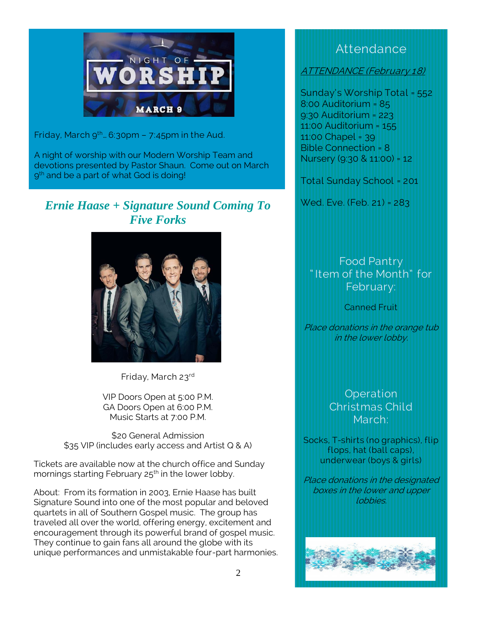

Friday, March  $9^{th}$ . 6:30pm - 7:45pm in the Aud.

A night of worship with our Modern Worship Team and devotions presented by Pastor Shaun. Come out on March 9 th and be a part of what God is doing!

## *Ernie Haase + Signature Sound Coming To Five Forks*



Friday, March 23rd

VIP Doors Open at 5:00 P.M. GA Doors Open at 6:00 P.M. Music Starts at 7:00 P.M.

\$20 General Admission \$35 VIP (includes early access and Artist Q & A)

Tickets are available now at the church office and Sunday mornings starting February  $25<sup>th</sup>$  in the lower lobby.

About: From its formation in 2003, Ernie Haase has built Signature Sound into one of the most popular and beloved quartets in all of Southern Gospel music. The group has traveled all over the world, offering energy, excitement and encouragement through its powerful brand of gospel music. They continue to gain fans all around the globe with its unique performances and unmistakable four-part harmonies.

## **Attendance**

ATTENDANCE (February 18)

Sunday's Worship Total = 552 8:00 Auditorium = 85 9:30 Auditorium = 223 11:00 Auditorium = 155 11:00 Chapel = 39 Bible Connection = 8 Nursery (9:30 & 11:00) = 12

Total Sunday School = 201

Wed. Eve. (Feb. 21) = 283

Food Pantry " Item of the Month" for February:

Canned Fruit

Place donations in the orange tub in the lower lobby.

> **Operation** Christmas Child March:

Socks, T-shirts (no graphics), flip flops, hat (ball caps), underwear (boys & girls)

Place donations in the designated boxes in the lower and upper lobbies.

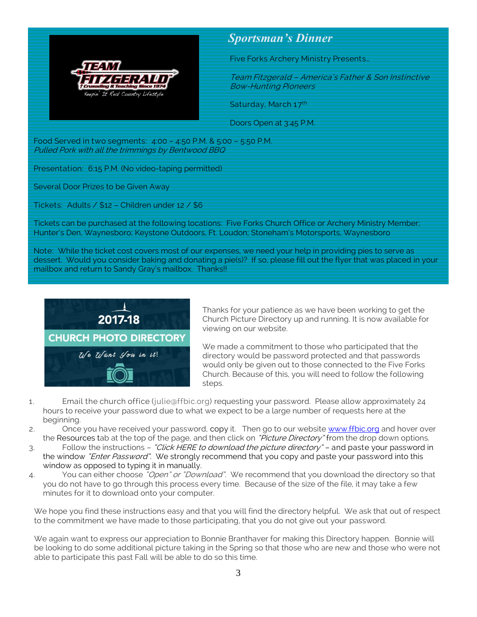

### *Sportsman's Dinner*

Five Forks Archery Ministry Presents…

Team Fitzgerald – America's Father & Son Instinctive Bow-Hunting Pioneers

Saturday, March 17th

Doors Open at 3:45 P.M.

Food Served in two segments: 4:00 – 4:50 P.M. & 5:00 – 5:50 P.M. Pulled Pork with all the trimmings by Bentwood BBQ

Presentation: 6:15 P.M. (No video-taping permitted)

Several Door Prizes to be Given Away

Tickets: Adults / \$12 – Children under 12 / \$6

Tickets can be purchased at the following locations: Five Forks Church Office or Archery Ministry Member; Hunter's Den, Waynesboro; Keystone Outdoors, Ft. Loudon; Stoneham's Motorsports, Waynesboro

Note: While the ticket cost covers most of our expenses, we need your help in providing pies to serve as dessert. Would you consider baking and donating a pie(s)? If so, please fill out the flyer that was placed in your mailbox and return to Sandy Gray's mailbox. Thanks!!



Thanks for your patience as we have been working to get the Church Picture Directory up and running. It is now available for viewing on our website.

We made a commitment to those who participated that the directory would be password protected and that passwords would only be given out to those connected to the Five Forks Church. Because of this, you will need to follow the following steps.

- 1. Email the church office [\(julie@ffbic.org\)](mailto:julie@ffbic.org) requesting your password. Please allow approximately 24 hours to receive your password due to what we expect to be a large number of requests here at the beginning.
- 2. Once you have received your password, copy it. Then go to our website [www.ffbic.org](http://www.ffbic.org/) and hover over the Resources tab at the top of the page, and then click on "Picture Directory" from the drop down options.
- 3. Follow the instructions "Click HERE to download the picture directory" and paste your password in the window "Enter Password". We strongly recommend that you copy and paste your password into this window as opposed to typing it in manually.
- 4. You can either choose "Open" or "Download". We recommend that you download the directory so that you do not have to go through this process every time. Because of the size of the file, it may take a few minutes for it to download onto your computer.

We hope you find these instructions easy and that you will find the directory helpful. We ask that out of respect to the commitment we have made to those participating, that you do not give out your password.

We again want to express our appreciation to Bonnie Branthaver for making this Directory happen. Bonnie will be looking to do some additional picture taking in the Spring so that those who are new and those who were not able to participate this past Fall will be able to do so this time.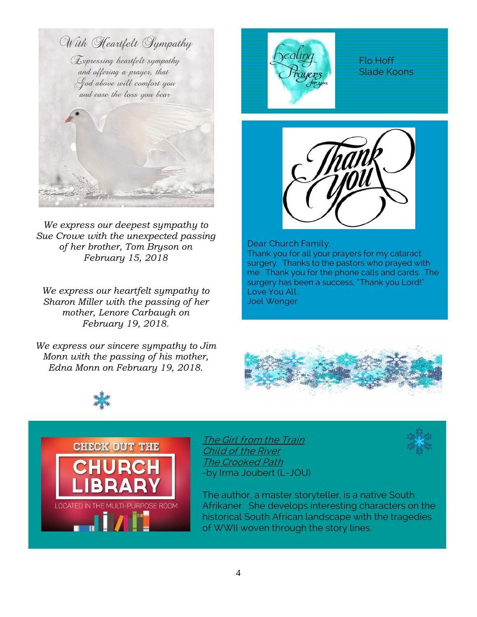

*We express our deepest sympathy to Sue Crowe with the unexpected passing of her brother, Tom Bryson on February 15, 2018*

*We express our heartfelt sympathy to Sharon Miller with the passing of her mother, Lenore Carbaugh on February 19, 2018.*

*We express our sincere sympathy to Jim Monn with the passing of his mother, Edna Monn on February 19, 2018.*



Flo Hoff Slade Koons



Dear Church Family, Thank you for all your prayers for my cataract surgery. Thanks to the pastors who prayed with me. Thank you for the phone calls and cards. The surgery has been a success, "Thank you Lord!" Love You All, Joel Wenger





The Girl from the Train Child of the River The Crooked Path -by Irma Joubert (L-JOU)



The author, a master storyteller, is a native South Afrikaner. She develops interesting characters on the historical South African landscape with the tragedies of WWII woven through the story lines.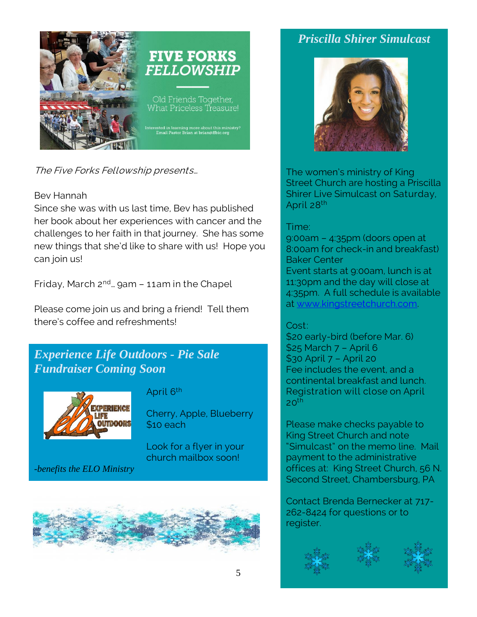

The Five Forks Fellowship presents…

#### Bev Hannah

Since she was with us last time, Bev has published her book about her experiences with cancer and the challenges to her faith in that journey. She has some new things that she'd like to share with us! Hope you can join us!

Friday, March  $2^{nd}$ ... gam - 11am in the Chapel

Please come join us and bring a friend! Tell them there's coffee and refreshments!

## *Experience Life Outdoors - Pie Sale Fundraiser Coming Soon*



### April 6<sup>th</sup>

Cherry, Apple, Blueberry \$10 each

Look for a flyer in your church mailbox soon!

*-benefits the ELO Ministry*



# *Priscilla Shirer Simulcast*



The women's ministry of King Street Church are hosting a Priscilla Shirer Live Simulcast on Saturday, April 28th

### Time:

9:00am – 4:35pm (doors open at 8:00am for check-in and breakfast) Baker Center Event starts at 9:00am, lunch is at 11:30pm and the day will close at 4:35pm. A full schedule is available at [www.kingstreetchurch.com.](http://www.kingstreetchurch.com/)

#### Cost:

\$20 early-bird (before Mar. 6) \$25 March 7 – April 6 \$30 April 7 – April 20 Fee includes the event, and a continental breakfast and lunch. Registration will close on April  $20<sup>th</sup>$ 

Please make checks payable to King Street Church and note "Simulcast" on the memo line. Mail payment to the administrative offices at: King Street Church, 56 N. Second Street, Chambersburg, PA

Contact Brenda Bernecker at 717- 262-8424 for questions or to register.